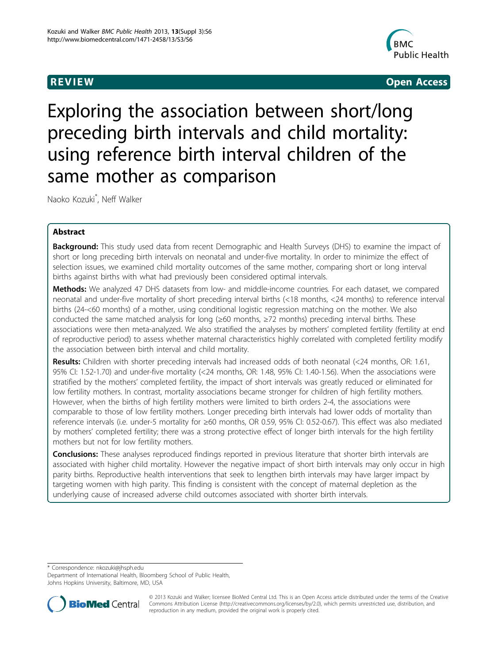

**REVIEW REVIEW CONSTRUCTER ACCESS** 

# Exploring the association between short/long preceding birth intervals and child mortality: using reference birth interval children of the same mother as comparison

Naoko Kozuki\* , Neff Walker

# Abstract

**Background:** This study used data from recent Demographic and Health Surveys (DHS) to examine the impact of short or long preceding birth intervals on neonatal and under-five mortality. In order to minimize the effect of selection issues, we examined child mortality outcomes of the same mother, comparing short or long interval births against births with what had previously been considered optimal intervals.

Methods: We analyzed 47 DHS datasets from low- and middle-income countries. For each dataset, we compared neonatal and under-five mortality of short preceding interval births (<18 months, <24 months) to reference interval births (24-<60 months) of a mother, using conditional logistic regression matching on the mother. We also conducted the same matched analysis for long (≥60 months, ≥72 months) preceding interval births. These associations were then meta-analyzed. We also stratified the analyses by mothers' completed fertility (fertility at end of reproductive period) to assess whether maternal characteristics highly correlated with completed fertility modify the association between birth interval and child mortality.

Results: Children with shorter preceding intervals had increased odds of both neonatal (<24 months, OR: 1.61, 95% CI: 1.52-1.70) and under-five mortality (<24 months, OR: 1.48, 95% CI: 1.40-1.56). When the associations were stratified by the mothers' completed fertility, the impact of short intervals was greatly reduced or eliminated for low fertility mothers. In contrast, mortality associations became stronger for children of high fertility mothers. However, when the births of high fertility mothers were limited to birth orders 2-4, the associations were comparable to those of low fertility mothers. Longer preceding birth intervals had lower odds of mortality than reference intervals (i.e. under-5 mortality for ≥60 months, OR 0.59, 95% CI: 0.52-0.67). This effect was also mediated by mothers' completed fertility; there was a strong protective effect of longer birth intervals for the high fertility mothers but not for low fertility mothers.

**Conclusions:** These analyses reproduced findings reported in previous literature that shorter birth intervals are associated with higher child mortality. However the negative impact of short birth intervals may only occur in high parity births. Reproductive health interventions that seek to lengthen birth intervals may have larger impact by targeting women with high parity. This finding is consistent with the concept of maternal depletion as the underlying cause of increased adverse child outcomes associated with shorter birth intervals.

\* Correspondence: [nkozuki@jhsph.edu](mailto:nkozuki@jhsph.edu)

Department of International Health, Bloomberg School of Public Health, Johns Hopkins University, Baltimore, MD, USA



© 2013 Kozuki and Walker; licensee BioMed Central Ltd. This is an Open Access article distributed under the terms of the Creative Commons Attribution License [\(http://creativecommons.org/licenses/by/2.0](http://creativecommons.org/licenses/by/2.0)), which permits unrestricted use, distribution, and reproduction in any medium, provided the original work is properly cited.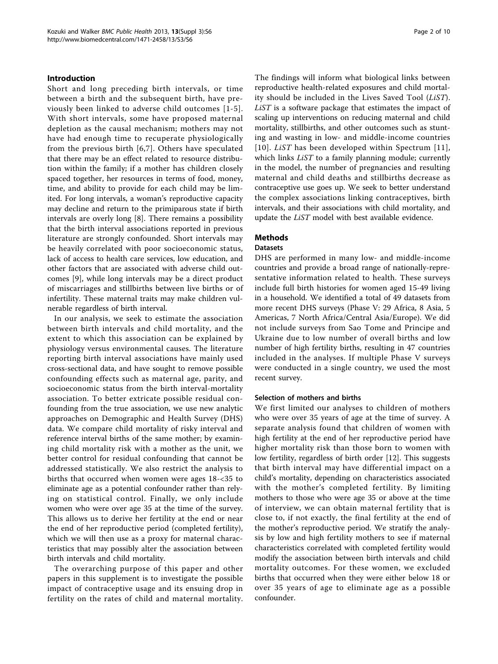# Introduction

Short and long preceding birth intervals, or time between a birth and the subsequent birth, have previously been linked to adverse child outcomes [\[1-5\]](#page-9-0). With short intervals, some have proposed maternal depletion as the causal mechanism; mothers may not have had enough time to recuperate physiologically from the previous birth [[6,7\]](#page-9-0). Others have speculated that there may be an effect related to resource distribution within the family; if a mother has children closely spaced together, her resources in terms of food, money, time, and ability to provide for each child may be limited. For long intervals, a woman's reproductive capacity may decline and return to the primiparous state if birth intervals are overly long [[8\]](#page-9-0). There remains a possibility that the birth interval associations reported in previous literature are strongly confounded. Short intervals may be heavily correlated with poor socioeconomic status, lack of access to health care services, low education, and other factors that are associated with adverse child outcomes [[9\]](#page-9-0), while long intervals may be a direct product of miscarriages and stillbirths between live births or of infertility. These maternal traits may make children vulnerable regardless of birth interval.

In our analysis, we seek to estimate the association between birth intervals and child mortality, and the extent to which this association can be explained by physiology versus environmental causes. The literature reporting birth interval associations have mainly used cross-sectional data, and have sought to remove possible confounding effects such as maternal age, parity, and socioeconomic status from the birth interval-mortality association. To better extricate possible residual confounding from the true association, we use new analytic approaches on Demographic and Health Survey (DHS) data. We compare child mortality of risky interval and reference interval births of the same mother; by examining child mortality risk with a mother as the unit, we better control for residual confounding that cannot be addressed statistically. We also restrict the analysis to births that occurred when women were ages 18-<35 to eliminate age as a potential confounder rather than relying on statistical control. Finally, we only include women who were over age 35 at the time of the survey. This allows us to derive her fertility at the end or near the end of her reproductive period (completed fertility), which we will then use as a proxy for maternal characteristics that may possibly alter the association between birth intervals and child mortality.

The overarching purpose of this paper and other papers in this supplement is to investigate the possible impact of contraceptive usage and its ensuing drop in fertility on the rates of child and maternal mortality. The findings will inform what biological links between reproductive health-related exposures and child mortality should be included in the Lives Saved Tool (LiST). LiST is a software package that estimates the impact of scaling up interventions on reducing maternal and child mortality, stillbirths, and other outcomes such as stunting and wasting in low- and middle-income countries [[10\]](#page-9-0). *LiST* has been developed within Spectrum [\[11\]](#page-9-0), which links *LiST* to a family planning module; currently in the model, the number of pregnancies and resulting maternal and child deaths and stillbirths decrease as contraceptive use goes up. We seek to better understand the complex associations linking contraceptives, birth intervals, and their associations with child mortality, and update the LiST model with best available evidence.

# Methods

#### Datasets

DHS are performed in many low- and middle-income countries and provide a broad range of nationally-representative information related to health. These surveys include full birth histories for women aged 15-49 living in a household. We identified a total of 49 datasets from more recent DHS surveys (Phase V: 29 Africa, 8 Asia, 5 Americas, 7 North Africa/Central Asia/Europe). We did not include surveys from Sao Tome and Principe and Ukraine due to low number of overall births and low number of high fertility births, resulting in 47 countries included in the analyses. If multiple Phase V surveys were conducted in a single country, we used the most recent survey.

#### Selection of mothers and births

We first limited our analyses to children of mothers who were over 35 years of age at the time of survey. A separate analysis found that children of women with high fertility at the end of her reproductive period have higher mortality risk than those born to women with low fertility, regardless of birth order [[12\]](#page-9-0). This suggests that birth interval may have differential impact on a child's mortality, depending on characteristics associated with the mother's completed fertility. By limiting mothers to those who were age 35 or above at the time of interview, we can obtain maternal fertility that is close to, if not exactly, the final fertility at the end of the mother's reproductive period. We stratify the analysis by low and high fertility mothers to see if maternal characteristics correlated with completed fertility would modify the association between birth intervals and child mortality outcomes. For these women, we excluded births that occurred when they were either below 18 or over 35 years of age to eliminate age as a possible confounder.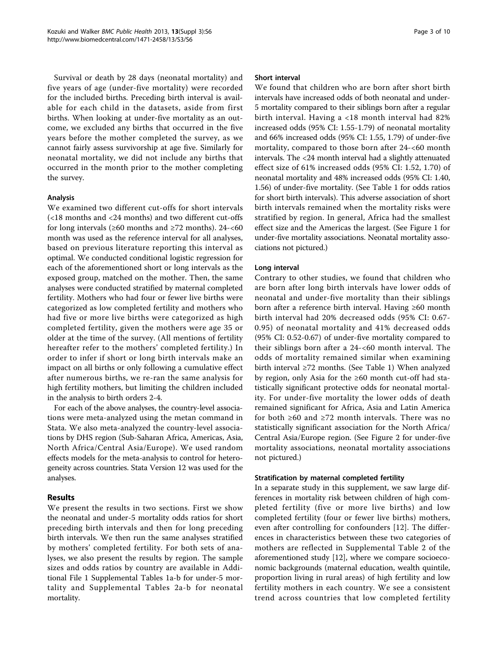Survival or death by 28 days (neonatal mortality) and five years of age (under-five mortality) were recorded for the included births. Preceding birth interval is available for each child in the datasets, aside from first births. When looking at under-five mortality as an outcome, we excluded any births that occurred in the five years before the mother completed the survey, as we cannot fairly assess survivorship at age five. Similarly for neonatal mortality, we did not include any births that occurred in the month prior to the mother completing the survey.

# Analysis

We examined two different cut-offs for short intervals (<18 months and <24 months) and two different cut-offs for long intervals ( $\geq 60$  months and  $\geq 72$  months). 24-<60 month was used as the reference interval for all analyses, based on previous literature reporting this interval as optimal. We conducted conditional logistic regression for each of the aforementioned short or long intervals as the exposed group, matched on the mother. Then, the same analyses were conducted stratified by maternal completed fertility. Mothers who had four or fewer live births were categorized as low completed fertility and mothers who had five or more live births were categorized as high completed fertility, given the mothers were age 35 or older at the time of the survey. (All mentions of fertility hereafter refer to the mothers' completed fertility.) In order to infer if short or long birth intervals make an impact on all births or only following a cumulative effect after numerous births, we re-ran the same analysis for high fertility mothers, but limiting the children included in the analysis to birth orders 2-4.

For each of the above analyses, the country-level associations were meta-analyzed using the metan command in Stata. We also meta-analyzed the country-level associations by DHS region (Sub-Saharan Africa, Americas, Asia, North Africa/Central Asia/Europe). We used random effects models for the meta-analysis to control for heterogeneity across countries. Stata Version 12 was used for the analyses.

# Results

We present the results in two sections. First we show the neonatal and under-5 mortality odds ratios for short preceding birth intervals and then for long preceding birth intervals. We then run the same analyses stratified by mothers' completed fertility. For both sets of analyses, we also present the results by region. The sample sizes and odds ratios by country are available in Additional File [1](#page-8-0) Supplemental Tables 1a-b for under-5 mortality and Supplemental Tables 2a-b for neonatal mortality.

#### Short interval

We found that children who are born after short birth intervals have increased odds of both neonatal and under-5 mortality compared to their siblings born after a regular birth interval. Having a <18 month interval had 82% increased odds (95% CI: 1.55-1.79) of neonatal mortality and 66% increased odds (95% CI: 1.55, 1.79) of under-five mortality, compared to those born after 24-<60 month intervals. The <24 month interval had a slightly attenuated effect size of 61% increased odds (95% CI: 1.52, 1.70) of neonatal mortality and 48% increased odds (95% CI: 1.40, 1.56) of under-five mortality. (See Table [1](#page-3-0) for odds ratios for short birth intervals). This adverse association of short birth intervals remained when the mortality risks were stratified by region. In general, Africa had the smallest effect size and the Americas the largest. (See Figure [1](#page-3-0) for under-five mortality associations. Neonatal mortality associations not pictured.)

#### Long interval

Contrary to other studies, we found that children who are born after long birth intervals have lower odds of neonatal and under-five mortality than their siblings born after a reference birth interval. Having ≥60 month birth interval had 20% decreased odds (95% CI: 0.67- 0.95) of neonatal mortality and 41% decreased odds (95% CI: 0.52-0.67) of under-five mortality compared to their siblings born after a 24-<60 month interval. The odds of mortality remained similar when examining birth interval ≥72 months. (See Table [1\)](#page-3-0) When analyzed by region, only Asia for the ≥60 month cut-off had statistically significant protective odds for neonatal mortality. For under-five mortality the lower odds of death remained significant for Africa, Asia and Latin America for both  $\geq 60$  and  $\geq 72$  month intervals. There was no statistically significant association for the North Africa/ Central Asia/Europe region. (See Figure [2](#page-4-0) for under-five mortality associations, neonatal mortality associations not pictured.)

#### Stratification by maternal completed fertility

In a separate study in this supplement, we saw large differences in mortality risk between children of high completed fertility (five or more live births) and low completed fertility (four or fewer live births) mothers, even after controlling for confounders [[12\]](#page-9-0). The differences in characteristics between these two categories of mothers are reflected in Supplemental Table 2 of the aforementioned study [[12](#page-9-0)], where we compare socioeconomic backgrounds (maternal education, wealth quintile, proportion living in rural areas) of high fertility and low fertility mothers in each country. We see a consistent trend across countries that low completed fertility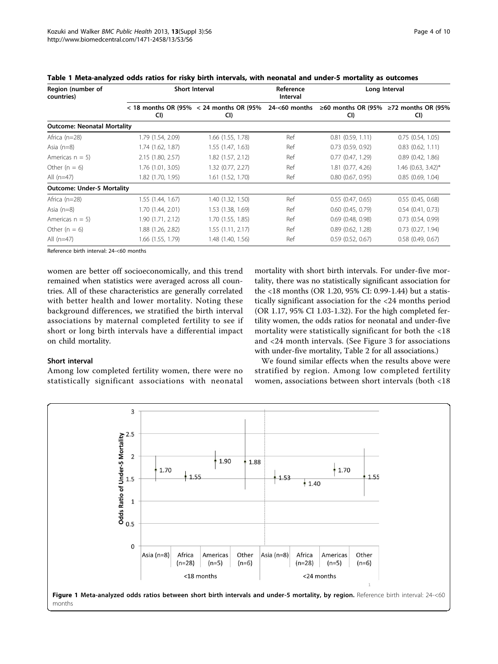| Region (number of<br>countries) |                   | <b>Short Interval</b>                                                | Reference<br>Interval | Long Interval                                |                       |  |
|---------------------------------|-------------------|----------------------------------------------------------------------|-----------------------|----------------------------------------------|-----------------------|--|
|                                 | CI)               | $<$ 18 months OR (95% $<$ 24 months OR (95% 24- $<$ 60 months<br>CI) |                       | ≥60 months OR (95% ≥72 months OR (95%<br>CI) | CI)                   |  |
| Outcome: Neonatal Mortality     |                   |                                                                      |                       |                                              |                       |  |
| Africa (n=28)                   | 1.79 (1.54, 2.09) | 1.66 (1.55, 1.78)                                                    | Ref                   | 0.81(0.59, 1.11)                             | 0.75(0.54, 1.05)      |  |
| Asia (n=8)                      | 1.74 (1.62, 1.87) | 1.55 (1.47, 1.63)                                                    | Ref                   | $0.73$ $(0.59, 0.92)$                        | $0.83$ $(0.62, 1.11)$ |  |
| Americas $n = 5$ )              | 2.15 (1.80, 2.57) | 1.82 (1.57, 2.12)                                                    | Ref                   | 0.77(0.47, 1.29)                             | 0.89(0.42, 1.86)      |  |
| Other ( $n = 6$ )               | 1.76 (1.01, 3.05) | 1.32 (0.77, 2.27)                                                    | Ref                   | 1.81 (0.77, 4.26)                            | $1.46$ (0.63, 3.42)*  |  |
| All (n=47)                      | 1.82 (1.70, 1.95) | 1.61 (1.52, 1.70)                                                    | Ref                   | $0.80$ $(0.67, 0.95)$                        | 0.85(0.69, 1.04)      |  |
| Outcome: Under-5 Mortality      |                   |                                                                      |                       |                                              |                       |  |
| Africa (n=28)                   | 1.55 (1.44, 1.67) | 1.40 (1.32, 1.50)                                                    | Ref                   | 0.55(0.47, 0.65)                             | 0.55(0.45, 0.68)      |  |
| Asia (n=8)                      | 1.70 (1.44, 2.01) | 1.53 (1.38, 1.69)                                                    | Ref                   | $0.60$ $(0.45, 0.79)$                        | $0.54$ $(0.41, 0.73)$ |  |
| Americas $n = 5$ )              | 1.90 (1.71, 2.12) | 1.70 (1.55, 1.85)                                                    | Ref                   | $0.69$ $(0.48, 0.98)$                        | $0.73$ $(0.54, 0.99)$ |  |
| Other ( $n = 6$ )               | 1.88 (1.26, 2.82) | 1.55 (1.11, 2.17)                                                    | Ref                   | $0.89$ $(0.62, 1.28)$                        | $0.73$ $(0.27, 1.94)$ |  |
| All (n=47)                      | 1.66 (1.55, 1.79) | 1.48 (1.40, 1.56)                                                    | Ref                   | $0.59$ $(0.52, 0.67)$                        | $0.58$ $(0.49, 0.67)$ |  |

<span id="page-3-0"></span>

|  | Table 1 Meta-analyzed odds ratios for risky birth intervals, with neonatal and under-5 mortality as outcomes |  |  |  |  |  |  |  |
|--|--------------------------------------------------------------------------------------------------------------|--|--|--|--|--|--|--|
|--|--------------------------------------------------------------------------------------------------------------|--|--|--|--|--|--|--|

Reference birth interval: 24-<60 months

women are better off socioeconomically, and this trend remained when statistics were averaged across all countries. All of these characteristics are generally correlated with better health and lower mortality. Noting these background differences, we stratified the birth interval associations by maternal completed fertility to see if short or long birth intervals have a differential impact on child mortality.

mortality with short birth intervals. For under-five mortality, there was no statistically significant association for the <18 months (OR 1.20, 95% CI: 0.99-1.44) but a statistically significant association for the <24 months period (OR 1.17, 95% CI 1.03-1.32). For the high completed fertility women, the odds ratios for neonatal and under-five mortality were statistically significant for both the <18 and <24 month intervals. (See Figure [3](#page-4-0) for associations with under-five mortality, Table [2](#page-5-0) for all associations.)

# Short interval

Among low completed fertility women, there were no statistically significant associations with neonatal

We found similar effects when the results above were stratified by region. Among low completed fertility women, associations between short intervals (both <18

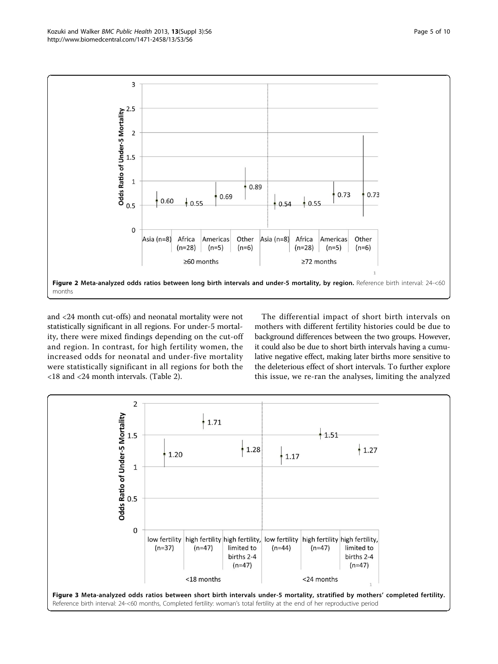<span id="page-4-0"></span>

and <24 month cut-offs) and neonatal mortality were not statistically significant in all regions. For under-5 mortality, there were mixed findings depending on the cut-off and region. In contrast, for high fertility women, the increased odds for neonatal and under-five mortality were statistically significant in all regions for both the <18 and <24 month intervals. (Table [2](#page-5-0)).

The differential impact of short birth intervals on mothers with different fertility histories could be due to background differences between the two groups. However, it could also be due to short birth intervals having a cumulative negative effect, making later births more sensitive to the deleterious effect of short intervals. To further explore this issue, we re-ran the analyses, limiting the analyzed

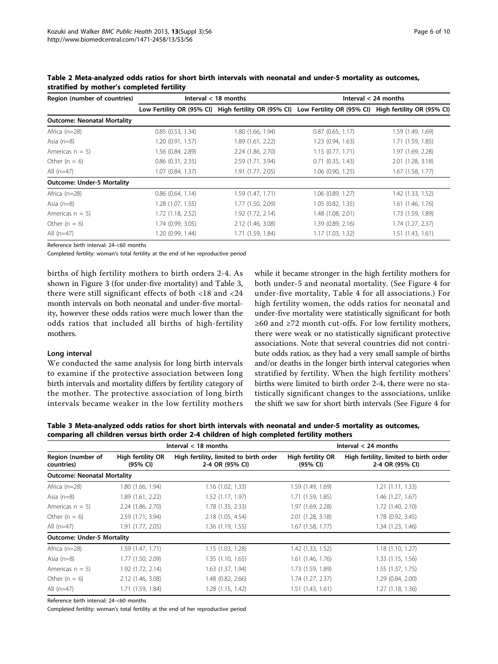| Region (number of countries)       |                       | Interval $<$ 18 months                                                                                    | Interval $<$ 24 months |                     |  |
|------------------------------------|-----------------------|-----------------------------------------------------------------------------------------------------------|------------------------|---------------------|--|
|                                    |                       | Low Fertility OR (95% CI) High fertility OR (95% CI) Low Fertility OR (95% CI) High fertility OR (95% CI) |                        |                     |  |
| <b>Outcome: Neonatal Mortality</b> |                       |                                                                                                           |                        |                     |  |
| Africa $(n=28)$                    | 0.85(0.53, 1.34)      | 1.80 (1.66, 1.94)                                                                                         | $0.87$ (0.65, 1.17)    | 1.59 (1.49, 1.69)   |  |
| Asia $(n=8)$                       | 1.20 (0.91, 1.57)     | 1.89 (1.61, 2.22)                                                                                         | 1.23 (0.94, 1.63)      | 1.71 (1.59, 1.85)   |  |
| Americas $n = 5$ )                 | 1.56 (0.84, 2.89)     | 2.24 (1.86, 2.70)                                                                                         | 1.15(0.77, 1.71)       | 1.97 (1.69, 2.28)   |  |
| Other $(n = 6)$                    | $0.86$ $(0.31, 2.35)$ | 2.59 (1.71, 3.94)                                                                                         | $0.71$ $(0.35, 1.43)$  | 2.01 (1.28, 3.18)   |  |
| All $(n=47)$                       | 1.07 (0.84, 1.37)     | 1.91 (1.77, 2.05)                                                                                         | 1.06 (0.90, 1.25)      | $1.67$ (1.58, 1.77) |  |
| <b>Outcome: Under-5 Mortality</b>  |                       |                                                                                                           |                        |                     |  |
| Africa $(n=28)$                    | $0.86$ $(0.64, 1.14)$ | 1.59 (1.47, 1.71)                                                                                         | $1.06$ $(0.89, 1.27)$  | 1.42 (1.33, 1.52)   |  |
| Asia $(n=8)$                       | 1.28(1.07, 1.55)      | 1.77 (1.50, 2.09)                                                                                         | 1.05(0.82, 1.35)       | 1.61 (1.46, 1.76)   |  |
| Americas $n = 5$ )                 | $1.72$ (1.18, 2.52)   | 1.92(1.72, 2.14)                                                                                          | 1.48 (1.08, 2.01)      | 1.73 (1.59, 1.89)   |  |
| Other $(n = 6)$                    | 1.74 (0.99, 3.05)     | 2.12 (1.46, 3.08)                                                                                         | 1.39 (0.89, 2.16)      | 1.74 (1.27, 2.37)   |  |
| All $(n=47)$                       | 1.20 (0.99, 1.44)     | 1.71 (1.59, 1.84)                                                                                         | 1.17 (1.03, 1.32)      | 1.51(1.43, 1.61)    |  |

<span id="page-5-0"></span>Table 2 Meta-analyzed odds ratios for short birth intervals with neonatal and under-5 mortality as outcomes, stratified by mother's completed fertility

Reference birth interval: 24-<60 months

Completed fertility: woman's total fertility at the end of her reproductive period

births of high fertility mothers to birth orders 2-4. As shown in Figure [3](#page-4-0) (for under-five mortality) and Table 3, there were still significant effects of both <18 and <24 month intervals on both neonatal and under-five mortality, however these odds ratios were much lower than the odds ratios that included all births of high-fertility mothers.

#### Long interval

We conducted the same analysis for long birth intervals to examine if the protective association between long birth intervals and mortality differs by fertility category of the mother. The protective association of long birth intervals became weaker in the low fertility mothers

while it became stronger in the high fertility mothers for both under-5 and neonatal mortality. (See Figure [4](#page-6-0) for under-five mortality, Table [4](#page-6-0) for all associations.) For high fertility women, the odds ratios for neonatal and under-five mortality were statistically significant for both ≥60 and ≥72 month cut-offs. For low fertility mothers, there were weak or no statistically significant protective associations. Note that several countries did not contribute odds ratios, as they had a very small sample of births and/or deaths in the longer birth interval categories when stratified by fertility. When the high fertility mothers' births were limited to birth order 2-4, there were no statistically significant changes to the associations, unlike the shift we saw for short birth intervals (See Figure [4](#page-6-0) for

Table 3 Meta-analyzed odds ratios for short birth intervals with neonatal and under-5 mortality as outcomes, comparing all children versus birth order 2-4 children of high completed fertility mothers

|                                                                  |                   | Interval $<$ 18 months                                    | Interval $<$ 24 months        |                                                           |  |
|------------------------------------------------------------------|-------------------|-----------------------------------------------------------|-------------------------------|-----------------------------------------------------------|--|
| Region (number of<br>High fertility OR<br>(95% CI)<br>countries) |                   | High fertility, limited to birth order<br>2-4 OR (95% CI) | High fertility OR<br>(95% CI) | High fertility, limited to birth order<br>2-4 OR (95% CI) |  |
| <b>Outcome: Neonatal Mortality</b>                               |                   |                                                           |                               |                                                           |  |
| Africa $(n=28)$                                                  | 1.80 (1.66, 1.94) | 1.16(1.02, 1.33)                                          | 1.59 (1.49, 1.69)             | 1.21(1.11, 1.33)                                          |  |
| Asia $(n=8)$                                                     | 1.89 (1.61, 2.22) | 1.52 (1.17, 1.97)                                         | 1.71 (1.59, 1.85)             | 1.46 (1.27, 1.67)                                         |  |
| Americas $n = 5$ )                                               | 2.24 (1.86, 2.70) | 1.78 (1.35, 2.33)                                         | 1.97 (1.69, 2.28)             | 1.72 (1.40, 2.10)                                         |  |
| Other $(n = 6)$                                                  | 2.59 (1.71, 3.94) | 2.18 (1.05, 4.54)                                         | 2.01 (1.28, 3.18)             | 1.78 (0.92, 3.45)                                         |  |
| All $(n=47)$                                                     | 1.91 (1.77, 2.05) | 1.36 (1.19, 1.55)                                         | 1.67 (1.58, 1.77)             | 1.34 (1.23, 1.46)                                         |  |
| <b>Outcome: Under-5 Mortality</b>                                |                   |                                                           |                               |                                                           |  |
| Africa $(n=28)$                                                  | 1.59(1.47, 1.71)  | 1.15(1.03, 1.28)                                          | 1.42 (1.33, 1.52)             | 1.18(1.10, 1.27)                                          |  |
| Asia $(n=8)$                                                     | 1.77 (1.50, 2.09) | 1.35(1.10, 1.65)                                          | 1.61(1.46, 1.76)              | 1.33 (1.15, 1.56)                                         |  |
| Americas $n = 5$ )                                               | 1.92(1.72, 2.14)  | $1.63$ (1.37, 1.94)                                       | 1.73 (1.59, 1.89)             | 1.55(1.37, 1.75)                                          |  |
| Other $(n = 6)$                                                  | 2.12 (1.46, 3.08) | 1.48 (0.82, 2.66)                                         | 1.74 (1.27, 2.37)             | 1.29 (0.84, 2.00)                                         |  |
| All $(n=47)$                                                     | 1.71 (1.59, 1.84) | 1.28 (1.15, 1.42)                                         | 1.51(1.43, 1.61)              | 1.27 (1.18, 1.36)                                         |  |

Reference birth interval: 24-<60 months

Completed fertility: woman's total fertility at the end of her reproductive period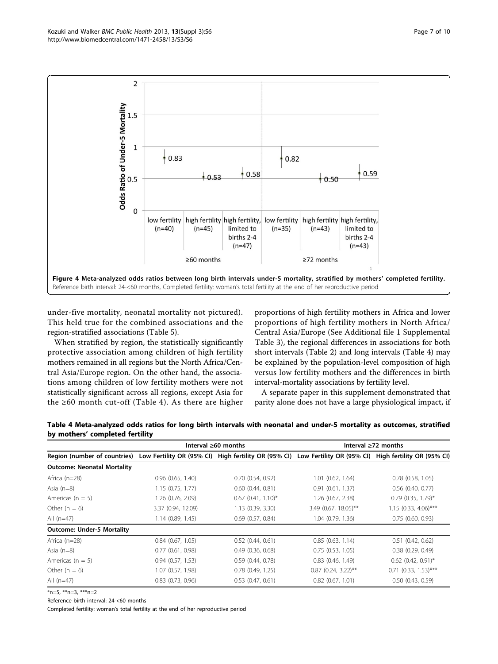<span id="page-6-0"></span>

under-five mortality, neonatal mortality not pictured). This held true for the combined associations and the region-stratified associations (Table [5\)](#page-7-0).

When stratified by region, the statistically significantly protective association among children of high fertility mothers remained in all regions but the North Africa/Central Asia/Europe region. On the other hand, the associations among children of low fertility mothers were not statistically significant across all regions, except Asia for the ≥60 month cut-off (Table 4). As there are higher

proportions of high fertility mothers in Africa and lower proportions of high fertility mothers in North Africa/ Central Asia/Europe (See Additional file [1](#page-8-0) Supplemental Table 3), the regional differences in associations for both short intervals (Table [2\)](#page-5-0) and long intervals (Table 4) may be explained by the population-level composition of high versus low fertility mothers and the differences in birth interval-mortality associations by fertility level.

A separate paper in this supplement demonstrated that parity alone does not have a large physiological impact, if

| Table 4 Meta-analyzed odds ratios for long birth intervals with neonatal and under-5 mortality as outcomes, stratified |                           |  |
|------------------------------------------------------------------------------------------------------------------------|---------------------------|--|
| by mothers' completed fertility                                                                                        |                           |  |
| Interval $\geq 60$ months                                                                                              | Interval $\geq 72$ months |  |
|                                                                                                                        |                           |  |

|                                    |                       | Interval $\geq 60$ months | Interval $\geq 72$ months                                                                                 |                        |  |
|------------------------------------|-----------------------|---------------------------|-----------------------------------------------------------------------------------------------------------|------------------------|--|
| Region (number of countries)       |                       |                           | Low Fertility OR (95% CI) High fertility OR (95% CI) Low Fertility OR (95% CI) High fertility OR (95% CI) |                        |  |
| <b>Outcome: Neonatal Mortality</b> |                       |                           |                                                                                                           |                        |  |
| Africa $(n=28)$                    | $0.96$ $(0.65, 1.40)$ | $0.70$ $(0.54, 0.92)$     | $1.01$ $(0.62, 1.64)$                                                                                     | $0.78$ $(0.58, 1.05)$  |  |
| Asia $(n=8)$                       | 1.15(0.75, 1.77)      | $0.60$ $(0.44, 0.81)$     | 0.91(0.61, 1.37)                                                                                          | $0.56$ $(0.40, 0.77)$  |  |
| Americas ( $n = 5$ )               | 1.26 (0.76, 2.09)     | $0.67$ (0.41, 1.10)*      | 1.26 (0.67, 2.38)                                                                                         | $0.79$ (0.35, 1.79)*   |  |
| Other $(n = 6)$                    | 3.37 (0.94, 12.09)    | 1.13 (0.39, 3.30)         | $3.49$ (0.67, 18.05)**                                                                                    | $1.15$ (0.33, 4.06)*** |  |
| All $(n=47)$                       | 1.14(0.89, 1.45)      | $0.69$ $(0.57, 0.84)$     | 1.04 (0.79, 1.36)                                                                                         | 0.75(0.60, 0.93)       |  |
| <b>Outcome: Under-5 Mortality</b>  |                       |                           |                                                                                                           |                        |  |
| Africa $(n=28)$                    | $0.84$ $(0.67, 1.05)$ | 0.52(0.44, 0.61)          | 0.85(0.63, 1.14)                                                                                          | $0.51$ $(0.42, 0.62)$  |  |
| Asia $(n=8)$                       | 0.77(0.61, 0.98)      | $0.49$ $(0.36, 0.68)$     | 0.75(0.53, 1.05)                                                                                          | $0.38$ $(0.29, 0.49)$  |  |
| Americas ( $n = 5$ )               | 0.94(0.57, 1.53)      | 0.59(0.44, 0.78)          | $0.83$ $(0.46, 1.49)$                                                                                     | $0.62$ (0.42, 0.91)*   |  |
| Other $(n = 6)$                    | 1.07(0.57, 1.98)      | $0.78$ $(0.49, 1.25)$     | $0.87$ (0.24, 3.22)**                                                                                     | $0.71$ (0.33, 1.53)*** |  |
| All $(n=47)$                       | $0.83$ $(0.73, 0.96)$ | $0.53$ $(0.47, 0.61)$     | $0.82$ $(0.67, 1.01)$                                                                                     | $0.50$ $(0.43, 0.59)$  |  |

\*n=5, \*\*n=3, \*\*\*n=2

Reference birth interval: 24-<60 months

Completed fertility: woman's total fertility at the end of her reproductive period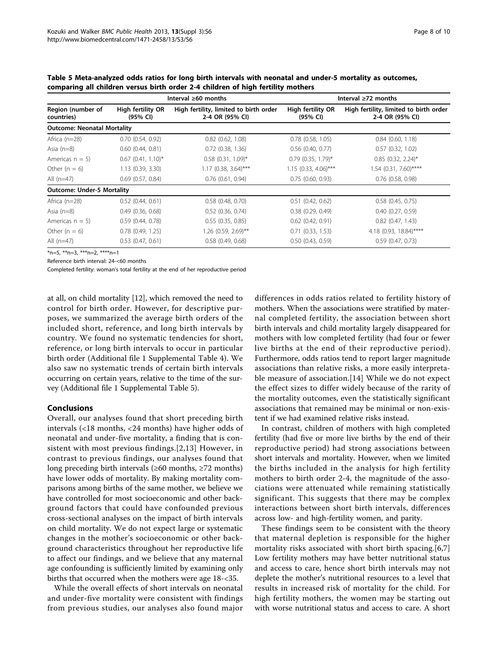|                                    |                               | Interval $\geq 60$ months                                 | Interval $\geq 72$ months     |                                                           |  |
|------------------------------------|-------------------------------|-----------------------------------------------------------|-------------------------------|-----------------------------------------------------------|--|
| Region (number of<br>countries)    | High fertility OR<br>(95% CI) | High fertility, limited to birth order<br>2-4 OR (95% CI) | High fertility OR<br>(95% CI) | High fertility, limited to birth order<br>2-4 OR (95% CI) |  |
| <b>Outcome: Neonatal Mortality</b> |                               |                                                           |                               |                                                           |  |
| Africa $(n=28)$                    | 0.70(0.54, 0.92)              | $0.82$ $(0.62, 1.08)$                                     | $0.78$ $(0.58, 1.05)$         | $0.84$ $(0.60, 1.18)$                                     |  |
| Asia $(n=8)$                       | $0.60$ $(0.44, 0.81)$         | $0.72$ $(0.38, 1.36)$                                     | $0.56$ $(0.40, 0.77)$         | $0.57$ $(0.32, 1.02)$                                     |  |
| Americas $n = 5$ )                 | $0.67$ (0.41, 1.10)*          | $0.58$ $(0.31, 1.09)^*$                                   | $0.79$ (0.35, 1.79)*          | $0.85$ (0.32, 2.24)*                                      |  |
| Other $(n = 6)$                    | 1.13(0.39, 3.30)              | $1.17$ (0.38, 3.64)***                                    | $1.15$ (0.33, 4.06)***        | $1.54$ (0.31, 7.60)****                                   |  |
| All $(n=47)$                       | $0.69$ $(0.57, 0.84)$         | $0.76$ $(0.61, 0.94)$                                     | 0.75(0.60, 0.93)              | $0.76$ $(0.58, 0.98)$                                     |  |
| <b>Outcome: Under-5 Mortality</b>  |                               |                                                           |                               |                                                           |  |
| Africa $(n=28)$                    | $0.52$ $(0.44, 0.61)$         | $0.58$ $(0.48, 0.70)$                                     | $0.51$ $(0.42, 0.62)$         | $0.58$ $(0.45, 0.75)$                                     |  |
| Asia $(n=8)$                       | $0.49$ $(0.36, 0.68)$         | $0.52$ $(0.36, 0.74)$                                     | $0.38$ $(0.29, 0.49)$         | $0.40$ $(0.27, 0.59)$                                     |  |
| Americas $n = 5$ )                 | 0.59(0.44, 0.78)              | 0.55(0.35, 0.85)                                          | $0.62$ $(0.42, 0.91)$         | $0.82$ $(0.47, 1.43)$                                     |  |
| Other $(n = 6)$                    | $0.78$ $(0.49, 1.25)$         | 1.26 (0.59, 2.69)**                                       | $0.71$ $(0.33, 1.53)$         | 4.18 (0.93, 18.84)****                                    |  |
| All $(n=47)$                       | $0.53$ $(0.47, 0.61)$         | $0.58$ $(0.49, 0.68)$                                     | $0.50$ $(0.43, 0.59)$         | 0.59(0.47, 0.73)                                          |  |

<span id="page-7-0"></span>Table 5 Meta-analyzed odds ratios for long birth intervals with neonatal and under-5 mortality as outcomes, comparing all children versus birth order 2-4 children of high fertility mothers

\*n=5, \*\*n=3, \*\*\*n=2, \*\*\*\*n=1

Reference birth interval: 24-<60 months

Completed fertility: woman's total fertility at the end of her reproductive period

at all, on child mortality [[12\]](#page-9-0), which removed the need to control for birth order. However, for descriptive purposes, we summarized the average birth orders of the included short, reference, and long birth intervals by country. We found no systematic tendencies for short, reference, or long birth intervals to occur in particular birth order (Additional file [1](#page-8-0) Supplemental Table 4). We also saw no systematic trends of certain birth intervals occurring on certain years, relative to the time of the survey (Additional file [1](#page-8-0) Supplemental Table 5).

# Conclusions

Overall, our analyses found that short preceding birth intervals (<18 months, <24 months) have higher odds of neonatal and under-five mortality, a finding that is consistent with most previous findings.[[2](#page-9-0),[13](#page-9-0)] However, in contrast to previous findings, our analyses found that long preceding birth intervals ( $\geq 60$  months,  $\geq 72$  months) have lower odds of mortality. By making mortality comparisons among births of the same mother, we believe we have controlled for most socioeconomic and other background factors that could have confounded previous cross-sectional analyses on the impact of birth intervals on child mortality. We do not expect large or systematic changes in the mother's socioeconomic or other background characteristics throughout her reproductive life to affect our findings, and we believe that any maternal age confounding is sufficiently limited by examining only births that occurred when the mothers were age 18-<35.

While the overall effects of short intervals on neonatal and under-five mortality were consistent with findings from previous studies, our analyses also found major differences in odds ratios related to fertility history of mothers. When the associations were stratified by maternal completed fertility, the association between short birth intervals and child mortality largely disappeared for mothers with low completed fertility (had four or fewer live births at the end of their reproductive period). Furthermore, odds ratios tend to report larger magnitude associations than relative risks, a more easily interpretable measure of association.[[14\]](#page-9-0) While we do not expect the effect sizes to differ widely because of the rarity of the mortality outcomes, even the statistically significant associations that remained may be minimal or non-existent if we had examined relative risks instead.

In contrast, children of mothers with high completed fertility (had five or more live births by the end of their reproductive period) had strong associations between short intervals and mortality. However, when we limited the births included in the analysis for high fertility mothers to birth order 2-4, the magnitude of the associations were attenuated while remaining statistically significant. This suggests that there may be complex interactions between short birth intervals, differences across low- and high-fertility women, and parity.

These findings seem to be consistent with the theory that maternal depletion is responsible for the higher mortality risks associated with short birth spacing.[[6,7](#page-9-0)] Low fertility mothers may have better nutritional status and access to care, hence short birth intervals may not deplete the mother's nutritional resources to a level that results in increased risk of mortality for the child. For high fertility mothers, the women may be starting out with worse nutritional status and access to care. A short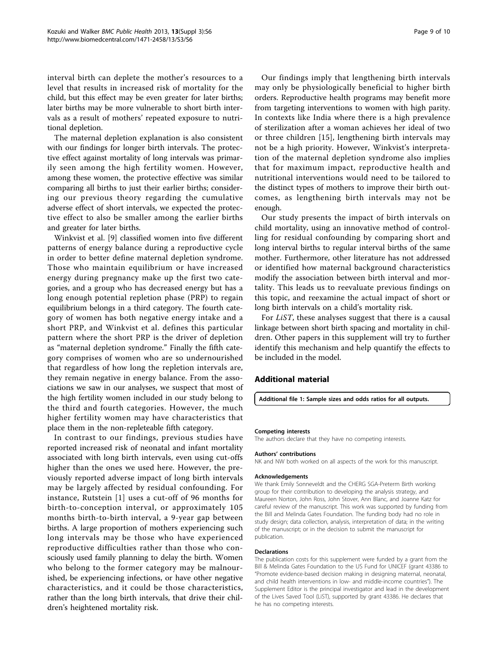<span id="page-8-0"></span>interval birth can deplete the mother's resources to a level that results in increased risk of mortality for the child, but this effect may be even greater for later births; later births may be more vulnerable to short birth intervals as a result of mothers' repeated exposure to nutritional depletion.

The maternal depletion explanation is also consistent with our findings for longer birth intervals. The protective effect against mortality of long intervals was primarily seen among the high fertility women. However, among these women, the protective effective was similar comparing all births to just their earlier births; considering our previous theory regarding the cumulative adverse effect of short intervals, we expected the protective effect to also be smaller among the earlier births and greater for later births.

Winkvist et al. [\[9](#page-9-0)] classified women into five different patterns of energy balance during a reproductive cycle in order to better define maternal depletion syndrome. Those who maintain equilibrium or have increased energy during pregnancy make up the first two categories, and a group who has decreased energy but has a long enough potential repletion phase (PRP) to regain equilibrium belongs in a third category. The fourth category of women has both negative energy intake and a short PRP, and Winkvist et al. defines this particular pattern where the short PRP is the driver of depletion as "maternal depletion syndrome." Finally the fifth category comprises of women who are so undernourished that regardless of how long the repletion intervals are, they remain negative in energy balance. From the associations we saw in our analyses, we suspect that most of the high fertility women included in our study belong to the third and fourth categories. However, the much higher fertility women may have characteristics that place them in the non-repleteable fifth category.

In contrast to our findings, previous studies have reported increased risk of neonatal and infant mortality associated with long birth intervals, even using cut-offs higher than the ones we used here. However, the previously reported adverse impact of long birth intervals may be largely affected by residual confounding. For instance, Rutstein [[1](#page-9-0)] uses a cut-off of 96 months for birth-to-conception interval, or approximately 105 months birth-to-birth interval, a 9-year gap between births. A large proportion of mothers experiencing such long intervals may be those who have experienced reproductive difficulties rather than those who consciously used family planning to delay the birth. Women who belong to the former category may be malnourished, be experiencing infections, or have other negative characteristics, and it could be those characteristics, rather than the long birth intervals, that drive their children's heightened mortality risk.

Our findings imply that lengthening birth intervals may only be physiologically beneficial to higher birth orders. Reproductive health programs may benefit more from targeting interventions to women with high parity. In contexts like India where there is a high prevalence of sterilization after a woman achieves her ideal of two or three children [[15\]](#page-9-0), lengthening birth intervals may not be a high priority. However, Winkvist's interpretation of the maternal depletion syndrome also implies that for maximum impact, reproductive health and nutritional interventions would need to be tailored to the distinct types of mothers to improve their birth outcomes, as lengthening birth intervals may not be enough.

Our study presents the impact of birth intervals on child mortality, using an innovative method of controlling for residual confounding by comparing short and long interval births to regular interval births of the same mother. Furthermore, other literature has not addressed or identified how maternal background characteristics modify the association between birth interval and mortality. This leads us to reevaluate previous findings on this topic, and reexamine the actual impact of short or long birth intervals on a child's mortality risk.

For LiST, these analyses suggest that there is a causal linkage between short birth spacing and mortality in children. Other papers in this supplement will try to further identify this mechanism and help quantify the effects to be included in the model.

# Additional material

[Additional file 1: S](http://www.biomedcentral.com/content/supplementary/1471-2458-13-S3-S6-S1.pdf)ample sizes and odds ratios for all outputs.

#### Competing interests

The authors declare that they have no competing interests.

#### Authors' contributions

NK and NW both worked on all aspects of the work for this manuscript.

#### Acknowledgements

We thank Emily Sonneveldt and the CHERG SGA-Preterm Birth working group for their contribution to developing the analysis strategy, and Maureen Norton, John Ross, John Stover, Ann Blanc, and Joanne Katz for careful review of the manuscript. This work was supported by funding from the Bill and Melinda Gates Foundation. The funding body had no role in study design; data collection, analysis, interpretation of data; in the writing of the manuscript; or in the decision to submit the manuscript for publication.

#### Declarations

The publication costs for this supplement were funded by a grant from the Bill & Melinda Gates Foundation to the US Fund for UNICEF (grant 43386 to "Promote evidence-based decision making in designing maternal, neonatal, and child health interventions in low- and middle-income countries"). The Supplement Editor is the principal investigator and lead in the development of the Lives Saved Tool (LiST), supported by grant 43386. He declares that he has no competing interests.